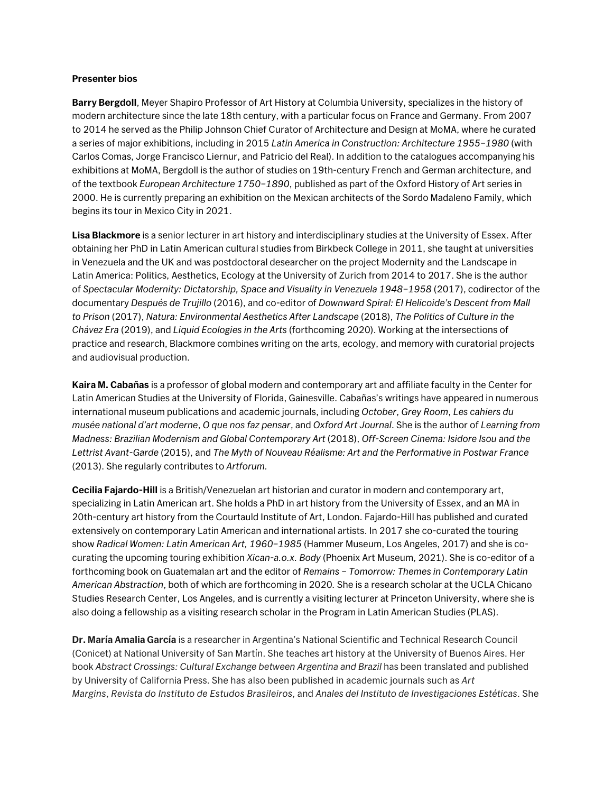## **Presenter bios**

**Barry Bergdoll**, Meyer Shapiro Professor of Art History at Columbia University, specializes in the history of modern architecture since the late 18th century, with a particular focus on France and Germany. From 2007 to 2014 he served as the Philip Johnson Chief Curator of Architecture and Design at MoMA, where he curated a series of major exhibitions, including in 2015 *Latin America in Construction: Architecture 1955–1980* (with Carlos Comas, Jorge Francisco Liernur, and Patricio del Real). In addition to the catalogues accompanying his exhibitions at MoMA, Bergdoll is the author of studies on 19th-century French and German architecture, and of the textbook *European Architecture 1750–1890*, published as part of the Oxford History of Art series in 2000. He is currently preparing an exhibition on the Mexican architects of the Sordo Madaleno Family, which begins its tour in Mexico City in 2021.

**Lisa Blackmore** is a senior lecturer in art history and interdisciplinary studies at the University of Essex. After obtaining her PhD in Latin American cultural studies from Birkbeck College in 2011, she taught at universities in Venezuela and the UK and was postdoctoral desearcher on the project Modernity and the Landscape in Latin America: Politics, Aesthetics, Ecology at the University of Zurich from 2014 to 2017. She is the author of *Spectacular Modernity: Dictatorship, Space and Visuality in Venezuela 1948–1958* (2017), codirector of the documentary *Después de Trujillo* (2016), and co-editor of *Downward Spiral: El Helicoide's Descent from Mall to Prison* (2017), *Natura: Environmental Aesthetics After Landscape* (2018), *The Politics of Culture in the Chávez Era* (2019), and *Liquid Ecologies in the Arts* (forthcoming 2020). Working at the intersections of practice and research, Blackmore combines writing on the arts, ecology, and memory with curatorial projects and audiovisual production.

**Kaira M. Cabañas** is a professor of global modern and contemporary art and affiliate faculty in the Center for Latin American Studies at the University of Florida, Gainesville. Cabañas's writings have appeared in numerous international museum publications and academic journals, including *October*, *Grey Room*, *Les cahiers du musée national d'art moderne*, *O que nos faz pensar*, and *Oxford Art Journal*. She is the author of *Learning from Madness: Brazilian Modernism and Global Contemporary Art* (2018), *Off-Screen Cinema: Isidore Isou and the Lettrist Avant-Garde* (2015), and *The Myth of Nouveau Réalisme: Art and the Performative in Postwar France* (2013). She regularly contributes to *Artforum.*

**Cecilia Fajardo-Hill** is a British/Venezuelan art historian and curator in modern and contemporary art, specializing in Latin American art. She holds a PhD in art history from the University of Essex, and an MA in 20th-century art history from the Courtauld Institute of Art, London. Fajardo-Hill has published and curated extensively on contemporary Latin American and international artists. In 2017 she co-curated the touring show *Radical Women: Latin American Art, 1960–1985* (Hammer Museum, Los Angeles, 2017) and she is cocurating the upcoming touring exhibition *Xican-a.o.x. Body* (Phoenix Art Museum, 2021). She is co-editor of a forthcoming book on Guatemalan art and the editor of *Remains – Tomorrow: Themes in Contemporary Latin American Abstraction*, both of which are forthcoming in 2020*.* She is a research scholar at the UCLA Chicano Studies Research Center, Los Angeles, and is currently a visiting lecturer at Princeton University, where she is also doing a fellowship as a visiting research scholar in the Program in Latin American Studies (PLAS).

**Dr. María Amalia García** is a researcher in Argentina's National Scientific and Technical Research Council (Conicet) at National University of San Martín. She teaches art history at the University of Buenos Aires. Her book *Abstract Crossings: Cultural Exchange between Argentina and Brazil* has been translated and published by University of California Press. She has also been published in academic journals such as *Art Margins*, *Revista do Instituto de Estudos Brasileiros*, and *Anales del Instituto de Investigaciones Estéticas*. She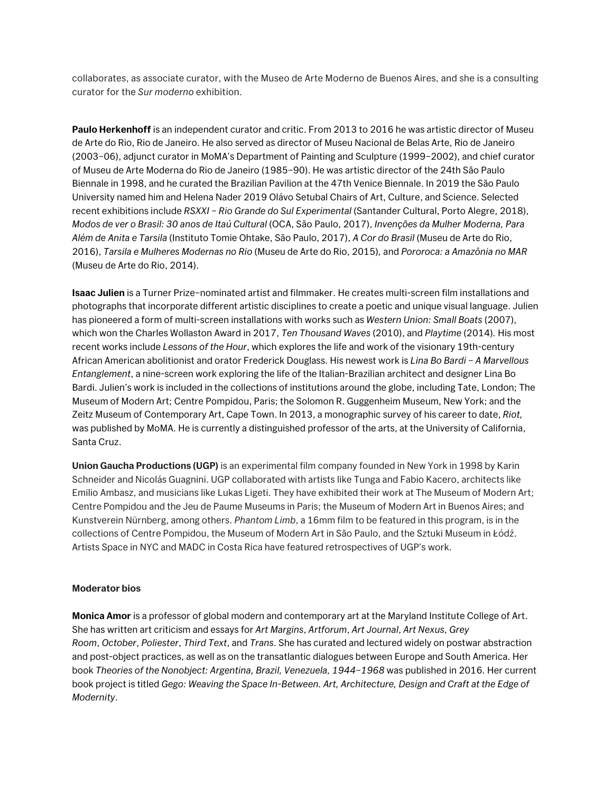collaborates, as associate curator, with the Museo de Arte Moderno de Buenos Aires, and she is a consulting curator for the *Sur moderno* exhibition.

**Paulo Herkenhoff** is an independent curator and critic. From 2013 to 2016 he was artistic director of Museu de Arte do Rio, Rio de Janeiro. He also served as director of Museu Nacional de Belas Arte, Rio de Janeiro (2003–06), adjunct curator in MoMA's Department of Painting and Sculpture (1999–2002), and chief curator of Museu de Arte Moderna do Rio de Janeiro (1985–90). He was artistic director of the 24th São Paulo Biennale in 1998, and he curated the Brazilian Pavilion at the 47th Venice Biennale. In 2019 the São Paulo University named him and Helena Nader 2019 Olávo Setubal Chairs of Art, Culture, and Science. Selected recent exhibitions include *RSXXI – Rio Grande do Sul Experimental* (Santander Cultural, Porto Alegre, 2018), *Modos de ver o Brasil: 30 anos de Itaú Cultural* (OCA, São Paulo, 2017), *Invenções da Mulher Moderna, Para Além de Anita e Tarsila* (Instituto Tomie Ohtake, São Paulo, 2017), *A Cor do Brasil* (Museu de Arte do Rio, 2016), *Tarsila e Mulheres Modernas no Rio* (Museu de Arte do Rio, 2015)*,* and *Pororoca: a Amazônia no MAR* (Museu de Arte do Rio, 2014).

**Isaac Julien** is a Turner Prize–nominated artist and filmmaker. He creates multi-screen film installations and photographs that incorporate different artistic disciplines to create a poetic and unique visual language. Julien has pioneered a form of multi-screen installations with works such as *Western Union: Small Boats* (2007), which won the Charles Wollaston Award in 2017, *Ten Thousand Waves* (2010), and *Playtime* (2014)*.* His most recent works include *Lessons of the Hour*, which explores the life and work of the visionary 19th-century African American abolitionist and orator Frederick Douglass. His newest work is *Lina Bo Bardi – A Marvellous Entanglement*, a nine-screen work exploring the life of the Italian-Brazilian architect and designer Lina Bo Bardi. Julien's work is included in the collections of institutions around the globe, including Tate, London; The Museum of Modern Art; Centre Pompidou, Paris; the Solomon R. Guggenheim Museum, New York; and the Zeitz Museum of Contemporary Art, Cape Town. In 2013, a monographic survey of his career to date, *Riot,*  was published by MoMA. He is currently a distinguished professor of the arts, at the University of California, Santa Cruz.

**Union Gaucha Productions (UGP)** is an experimental film company founded in New York in 1998 by Karin Schneider and Nicolás Guagnini. UGP collaborated with artists like Tunga and Fabio Kacero, architects like Emilio Ambasz, and musicians like Lukas Ligeti. They have exhibited their work at The Museum of Modern Art; Centre Pompidou and the Jeu de Paume Museums in Paris; the Museum of Modern Art in Buenos Aires; and Kunstverein Nürnberg, among others. *Phantom Limb*, a 16mm film to be featured in this program, is in the collections of Centre Pompidou, the Museum of Modern Art in São Paulo, and the Sztuki Museum in Łódź. Artists Space in NYC and MADC in Costa Rica have featured retrospectives of UGP's work.

## **Moderator bios**

**Monica Amor** is a professor of global modern and contemporary art at the Maryland Institute College of Art. She has written art criticism and essays for *Art Margins*, *Artforum*, *Art Journal*, *Art Nexus*, *Grey Room*, *October*, *Poliester*, *Third Text*, and *Trans*. She has curated and lectured widely on postwar abstraction and post-object practices, as well as on the transatlantic dialogues between Europe and South America. Her book *Theories of the Nonobject: Argentina, Brazil, Venezuela, 1944–1968* was published in 2016. Her current book project is titled *Gego: Weaving the Space In-Between. Art, Architecture, Design and Craft at the Edge of Modernity*.